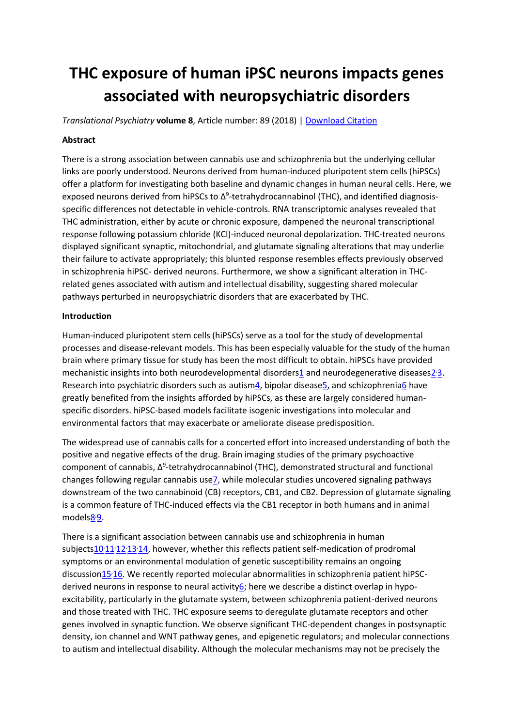# **THC exposure of human iPSC neurons impacts genes associated with neuropsychiatric disorders**

*Translational Psychiatry* **volume 8**, Article number: 89 (2018) | [Download Citation](https://www.nature.com/articles/s41398-018-0137-3.ris)

## **Abstract**

There is a strong association between cannabis use and schizophrenia but the underlying cellular links are poorly understood. Neurons derived from human-induced pluripotent stem cells (hiPSCs) offer a platform for investigating both baseline and dynamic changes in human neural cells. Here, we exposed neurons derived from hiPSCs to Δ<sup>9</sup>-tetrahydrocannabinol (THC), and identified diagnosisspecific differences not detectable in vehicle-controls. RNA transcriptomic analyses revealed that THC administration, either by acute or chronic exposure, dampened the neuronal transcriptional response following potassium chloride (KCl)-induced neuronal depolarization. THC-treated neurons displayed significant synaptic, mitochondrial, and glutamate signaling alterations that may underlie their failure to activate appropriately; this blunted response resembles effects previously observed in schizophrenia hiPSC- derived neurons. Furthermore, we show a significant alteration in THCrelated genes associated with autism and intellectual disability, suggesting shared molecular pathways perturbed in neuropsychiatric disorders that are exacerbated by THC.

## **Introduction**

Human-induced pluripotent stem cells (hiPSCs) serve as a tool for the study of developmental processes and disease-relevant models. This has been especially valuable for the study of the human brain where primary tissue for study has been the most difficult to obtain. hiPSCs have provided mechanistic insights into both neurodevelopmental disorders<sup>1</sup> and neurodegenerative diseases<sup>2.</sup>[3.](https://www.nature.com/articles/s41398-018-0137-3#ref-CR3) Research into psychiatric disorders such as autis[m4,](https://www.nature.com/articles/s41398-018-0137-3#ref-CR4) bipolar disease<sub>5</sub>, and schizophreni[a6](https://www.nature.com/articles/s41398-018-0137-3#ref-CR6) have greatly benefited from the insights afforded by hiPSCs, as these are largely considered humanspecific disorders. hiPSC-based models facilitate isogenic investigations into molecular and environmental factors that may exacerbate or ameliorate disease predisposition.

The widespread use of cannabis calls for a concerted effort into increased understanding of both the positive and negative effects of the drug. Brain imaging studies of the primary psychoactive component of cannabis, Δ<sup>9</sup>-tetrahydrocannabinol (THC), demonstrated structural and functional changes following regular cannabis us[e7,](https://www.nature.com/articles/s41398-018-0137-3#ref-CR7) while molecular studies uncovered signaling pathways downstream of the two cannabinoid (CB) receptors, CB1, and CB2. Depression of glutamate signaling is a common feature of THC-induced effects via the CB1 receptor in both humans and in animal model[s8](https://www.nature.com/articles/s41398-018-0137-3#ref-CR8)<sup>.</sup>[9.](https://www.nature.com/articles/s41398-018-0137-3#ref-CR9)

There is a significant association between cannabis use and schizophrenia in human subject[s10](https://www.nature.com/articles/s41398-018-0137-3#ref-CR10).[11](https://www.nature.com/articles/s41398-018-0137-3#ref-CR11).[12](https://www.nature.com/articles/s41398-018-0137-3#ref-CR12).[13](https://www.nature.com/articles/s41398-018-0137-3#ref-CR13).[14,](https://www.nature.com/articles/s41398-018-0137-3#ref-CR14) however, whether this reflects patient self-medication of prodromal symptoms or an environmental modulation of genetic susceptibility remains an ongoing discussio[n15](https://www.nature.com/articles/s41398-018-0137-3#ref-CR15)<sup>,</sup>[16.](https://www.nature.com/articles/s41398-018-0137-3#ref-CR16) We recently reported molecular abnormalities in schizophrenia patient hiPSCderived neurons in response to neural activity $6$ ; here we describe a distinct overlap in hypoexcitability, particularly in the glutamate system, between schizophrenia patient-derived neurons and those treated with THC. THC exposure seems to deregulate glutamate receptors and other genes involved in synaptic function. We observe significant THC-dependent changes in postsynaptic density, ion channel and WNT pathway genes, and epigenetic regulators; and molecular connections to autism and intellectual disability. Although the molecular mechanisms may not be precisely the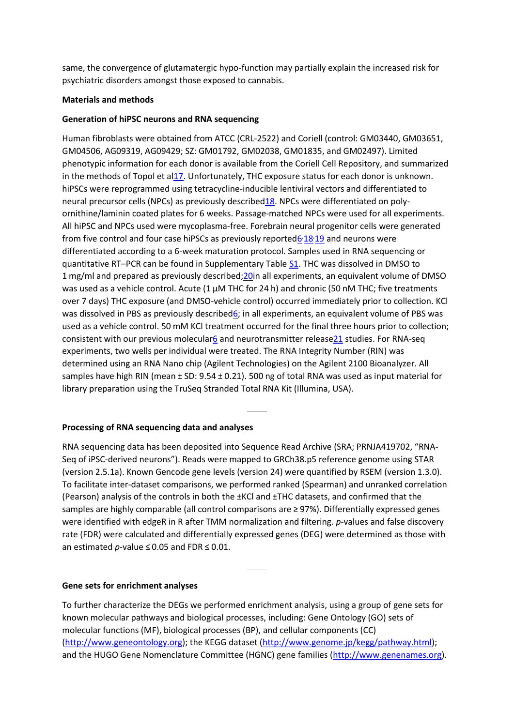same, the convergence of glutamatergic hypo-function may partially explain the increased risk for psychiatric disorders amongst those exposed to cannabis.

## **Materials and methods**

## **Generation of hiPSC neurons and RNA sequencing**

Human fibroblasts were obtained from ATCC (CRL-2522) and Coriell (control: GM03440, GM03651, GM04506, AG09319, AG09429; SZ: GM01792, GM02038, GM01835, and GM02497). Limited phenotypic information for each donor is available from the Coriell Cell Repository, and summarized in the methods of Topol et a[l17.](https://www.nature.com/articles/s41398-018-0137-3#ref-CR17) Unfortunately, THC exposure status for each donor is unknown. hiPSCs were reprogrammed using tetracycline-inducible lentiviral vectors and differentiated to neural precursor cells (NPCs) as previously describe[d18.](https://www.nature.com/articles/s41398-018-0137-3#ref-CR18) NPCs were differentiated on polyornithine/laminin coated plates for 6 weeks. Passage-matched NPCs were used for all experiments. All hiPSC and NPCs used were mycoplasma-free. Forebrain neural progenitor cells were generated from five control and four case hiPSCs as previously reported 6<sup>'</sup> [18](https://www.nature.com/articles/s41398-018-0137-3#ref-CR18)'<sup>[19](https://www.nature.com/articles/s41398-018-0137-3#ref-CR19)</sup> and neurons were differentiated according to a 6-week maturation protocol. Samples used in RNA sequencing or quantitative RT–PCR can be found in Supplementary Table [S1.](https://www.nature.com/articles/s41398-018-0137-3#MOESM2) THC was dissolved in DMSO to 1 mg/ml and prepared as previously described;[20i](https://www.nature.com/articles/s41398-018-0137-3#ref-CR20)n all experiments, an equivalent volume of DMSO was used as a vehicle control. Acute (1 μM THC for 24 h) and chronic (50 nM THC; five treatments over 7 days) THC exposure (and DMSO-vehicle control) occurred immediately prior to collection. KCl was dissolved in PBS as previously describe[d6;](https://www.nature.com/articles/s41398-018-0137-3#ref-CR6) in all experiments, an equivalent volume of PBS was used as a vehicle control. 50 mM KCl treatment occurred for the final three hours prior to collection; consistent with our previous molecula[r6](https://www.nature.com/articles/s41398-018-0137-3#ref-CR6) and neurotransmitter releas[e21](https://www.nature.com/articles/s41398-018-0137-3#ref-CR21) studies. For RNA-seq experiments, two wells per individual were treated. The RNA Integrity Number (RIN) was determined using an RNA Nano chip (Agilent Technologies) on the Agilent 2100 Bioanalyzer. All samples have high RIN (mean ± SD: 9.54 ± 0.21). 500 ng of total RNA was used as input material for library preparation using the TruSeq Stranded Total RNA Kit (Illumina, USA).

## **Processing of RNA sequencing data and analyses**

RNA sequencing data has been deposited into Sequence Read Archive (SRA; PRNJA419702, "RNA-Seq of iPSC-derived neurons"). Reads were mapped to GRCh38.p5 reference genome using STAR (version 2.5.1a). Known Gencode gene levels (version 24) were quantified by RSEM (version 1.3.0). To facilitate inter-dataset comparisons, we performed ranked (Spearman) and unranked correlation (Pearson) analysis of the controls in both the ±KCl and ±THC datasets, and confirmed that the samples are highly comparable (all control comparisons are ≥ 97%). Differentially expressed genes were identified with edgeR in R after TMM normalization and filtering. *p*-values and false discovery rate (FDR) were calculated and differentially expressed genes (DEG) were determined as those with an estimated *p*-value ≤ 0.05 and FDR ≤ 0.01.

## **Gene sets for enrichment analyses**

To further characterize the DEGs we performed enrichment analysis, using a group of gene sets for known molecular pathways and biological processes, including: Gene Ontology (GO) sets of molecular functions (MF), biological processes (BP), and cellular components (CC) [\(http://www.geneontology.org\)](http://www.geneontology.org/); the KEGG dataset [\(http://www.genome.jp/kegg/pathway.html\)](http://www.genome.jp/kegg/pathway.html); and the HUGO Gene Nomenclature Committee (HGNC) gene families [\(http://www.genenames.org\)](http://www.genenames.org/).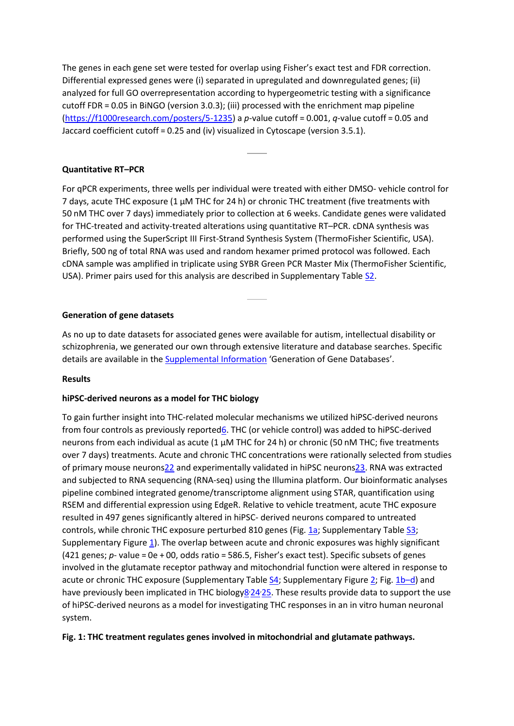The genes in each gene set were tested for overlap using Fisher's exact test and FDR correction. Differential expressed genes were (i) separated in upregulated and downregulated genes; (ii) analyzed for full GO overrepresentation according to hypergeometric testing with a significance cutoff FDR = 0.05 in BiNGO (version 3.0.3); (iii) processed with the enrichment map pipeline [\(https://f1000research.com/posters/5-1235\)](https://f1000research.com/posters/5-1235) a *p*-value cutoff = 0.001, *q*-value cutoff = 0.05 and Jaccard coefficient cutoff = 0.25 and (iv) visualized in Cytoscape (version 3.5.1).

## **Quantitative RT–PCR**

For qPCR experiments, three wells per individual were treated with either DMSO- vehicle control for 7 days, acute THC exposure (1 μM THC for 24 h) or chronic THC treatment (five treatments with 50 nM THC over 7 days) immediately prior to collection at 6 weeks. Candidate genes were validated for THC-treated and activity-treated alterations using quantitative RT–PCR. cDNA synthesis was performed using the SuperScript III First-Strand Synthesis System (ThermoFisher Scientific, USA). Briefly, 500 ng of total RNA was used and random hexamer primed protocol was followed. Each cDNA sample was amplified in triplicate using SYBR Green PCR Master Mix (ThermoFisher Scientific, USA). Primer pairs used for this analysis are described in Supplementary Table [S2.](https://www.nature.com/articles/s41398-018-0137-3#MOESM3)

## **Generation of gene datasets**

As no up to date datasets for associated genes were available for autism, intellectual disability or schizophrenia, we generated our own through extensive literature and database searches. Specific details are available in the [Supplemental Information](https://www.nature.com/articles/s41398-018-0137-3#MOESM1) 'Generation of Gene Databases'.

## **Results**

## **hiPSC-derived neurons as a model for THC biology**

To gain further insight into THC-related molecular mechanisms we utilized hiPSC-derived neurons from four controls as previously reporte[d6.](https://www.nature.com/articles/s41398-018-0137-3#ref-CR6) THC (or vehicle control) was added to hiPSC-derived neurons from each individual as acute (1 μM THC for 24 h) or chronic (50 nM THC; five treatments over 7 days) treatments. Acute and chronic THC concentrations were rationally selected from studies of primary mouse neuron[s22](https://www.nature.com/articles/s41398-018-0137-3#ref-CR22) and experimentally validated in hiPSC neuron[s23.](https://www.nature.com/articles/s41398-018-0137-3#ref-CR23) RNA was extracted and subjected to RNA sequencing (RNA-seq) using the Illumina platform. Our bioinformatic analyses pipeline combined integrated genome/transcriptome alignment using STAR, quantification using RSEM and differential expression using EdgeR. Relative to vehicle treatment, acute THC exposure resulted in 497 genes significantly altered in hiPSC- derived neurons compared to untreated controls, while chronic THC exposure perturbed 810 genes (Fig. [1a;](https://www.nature.com/articles/s41398-018-0137-3#Fig1) Supplementary Table [S3;](https://www.nature.com/articles/s41398-018-0137-3#MOESM4) Supplementary Figure [1\)](https://www.nature.com/articles/s41398-018-0137-3#MOESM1). The overlap between acute and chronic exposures was highly significant (421 genes; *p*- value = 0e + 00, odds ratio = 586.5, Fisher's exact test). Specific subsets of genes involved in the glutamate receptor pathway and mitochondrial function were altered in response to acute or chronic THC exposure (Supplementary Table [S4;](https://www.nature.com/articles/s41398-018-0137-3#MOESM5) Supplementary Figure [2;](https://www.nature.com/articles/s41398-018-0137-3#MOESM1) Fig. [1b](https://www.nature.com/articles/s41398-018-0137-3#Fig1)–d) and have previously been implicated in THC biology<sup>8</sup>[24](https://www.nature.com/articles/s41398-018-0137-3#ref-CR24)-[25.](https://www.nature.com/articles/s41398-018-0137-3#ref-CR25) These results provide data to support the use of hiPSC-derived neurons as a model for investigating THC responses in an in vitro human neuronal system.

## **Fig. 1: THC treatment regulates genes involved in mitochondrial and glutamate pathways.**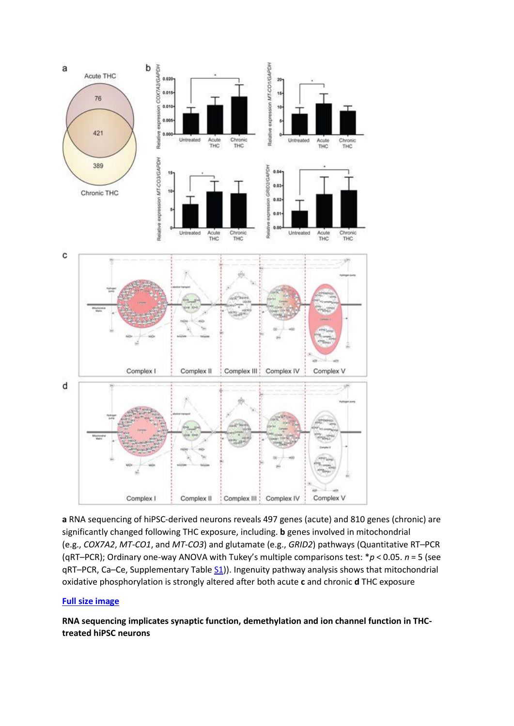

**a** RNA sequencing of hiPSC-derived neurons reveals 497 genes (acute) and 810 genes (chronic) are significantly changed following THC exposure, including. **b** genes involved in mitochondrial (e.g., *COX7A2*, *MT-CO1*, and *MT-CO3*) and glutamate (e.g., *GRID2*) pathways (Quantitative RT–PCR (qRT–PCR); Ordinary one-way ANOVA with Tukey's multiple comparisons test: \**p* < 0.05. *n* = 5 (see  $qRT-PCR$ , Ca–Ce, Supplementary Table  $51$ ). Ingenuity pathway analysis shows that mitochondrial oxidative phosphorylation is strongly altered after both acute **c** and chronic **d** THC exposure

## **[Full size image](https://www.nature.com/articles/s41398-018-0137-3/figures/1)**

**RNA sequencing implicates synaptic function, demethylation and ion channel function in THCtreated hiPSC neurons**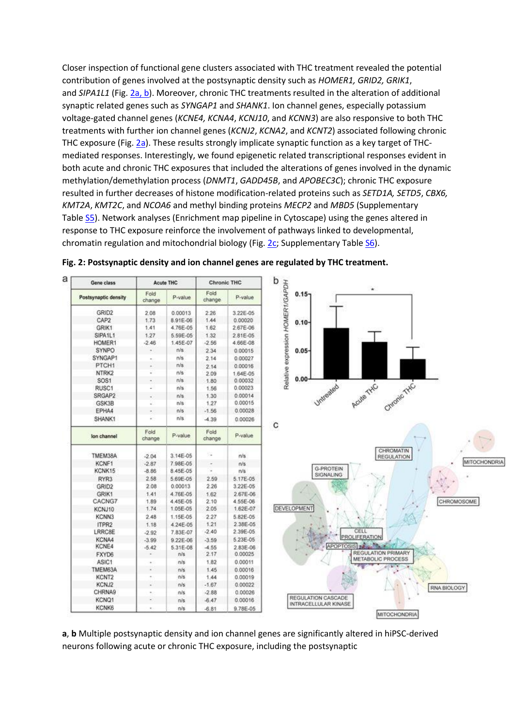Closer inspection of functional gene clusters associated with THC treatment revealed the potential contribution of genes involved at the postsynaptic density such as *HOMER1, GRID2, GRIK1*, and *SIPA1L1* (Fig. [2a, b\)](https://www.nature.com/articles/s41398-018-0137-3#Fig2). Moreover, chronic THC treatments resulted in the alteration of additional synaptic related genes such as *SYNGAP1* and *SHANK1*. Ion channel genes, especially potassium voltage-gated channel genes (*KCNE4, KCNA4*, *KCNJ10*, and *KCNN3*) are also responsive to both THC treatments with further ion channel genes (*KCNJ2*, *KCNA2*, and *KCNT2*) associated following chronic THC exposure (Fig. [2a\)](https://www.nature.com/articles/s41398-018-0137-3#Fig2). These results strongly implicate synaptic function as a key target of THCmediated responses. Interestingly, we found epigenetic related transcriptional responses evident in both acute and chronic THC exposures that included the alterations of genes involved in the dynamic methylation/demethylation process (*DNMT1*, *GADD45B*, and *APOBEC3C*); chronic THC exposure resulted in further decreases of histone modification-related proteins such as *SETD1A, SETD5*, *CBX6, KMT2A*, *KMT2C*, and *NCOA6* and methyl binding proteins *MECP2* and *MBD5* (Supplementary Table [S5\)](https://www.nature.com/articles/s41398-018-0137-3#MOESM6). Network analyses (Enrichment map pipeline in Cytoscape) using the genes altered in response to THC exposure reinforce the involvement of pathways linked to developmental, chromatin regulation and mitochondrial biology (Fig. [2c;](https://www.nature.com/articles/s41398-018-0137-3#Fig2) Supplementary Table [S6\)](https://www.nature.com/articles/s41398-018-0137-3#MOESM7).



**Fig. 2: Postsynaptic density and ion channel genes are regulated by THC treatment.**

**a**, **b** Multiple postsynaptic density and ion channel genes are significantly altered in hiPSC-derived neurons following acute or chronic THC exposure, including the postsynaptic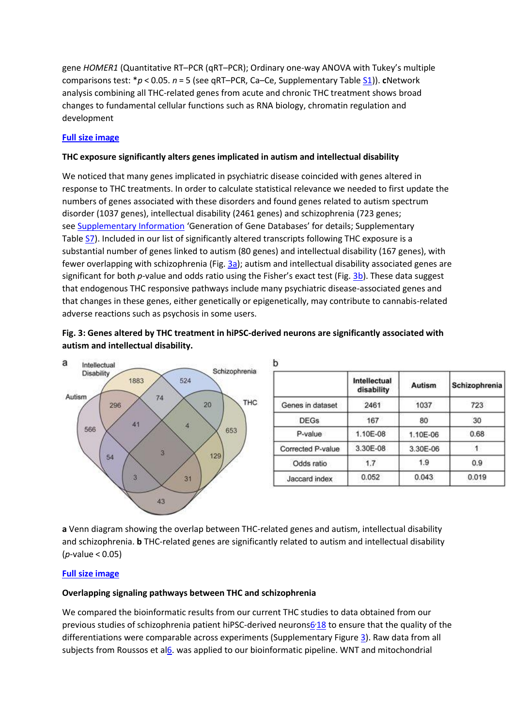gene *HOMER1* (Quantitative RT–PCR (qRT–PCR); Ordinary one-way ANOVA with Tukey's multiple comparisons test: \**p* < 0.05. *n* = 5 (see qRT–PCR, Ca–Ce, Supplementary Table [S1\)](https://www.nature.com/articles/s41398-018-0137-3#MOESM2)). **c**Network analysis combining all THC-related genes from acute and chronic THC treatment shows broad changes to fundamental cellular functions such as RNA biology, chromatin regulation and development

## **[Full size image](https://www.nature.com/articles/s41398-018-0137-3/figures/2)**

## **THC exposure significantly alters genes implicated in autism and intellectual disability**

We noticed that many genes implicated in psychiatric disease coincided with genes altered in response to THC treatments. In order to calculate statistical relevance we needed to first update the numbers of genes associated with these disorders and found genes related to autism spectrum disorder (1037 genes), intellectual disability (2461 genes) and schizophrenia (723 genes; see [Supplementary Information](https://www.nature.com/articles/s41398-018-0137-3#MOESM1) 'Generation of Gene Databases' for details; Supplementary Table [S7\)](https://www.nature.com/articles/s41398-018-0137-3#MOESM8). Included in our list of significantly altered transcripts following THC exposure is a substantial number of genes linked to autism (80 genes) and intellectual disability (167 genes), with fewer overlapping with schizophrenia (Fig. [3a\)](https://www.nature.com/articles/s41398-018-0137-3#Fig3); autism and intellectual disability associated genes are significant for both *p*-value and odds ratio using the Fisher's exact test (Fig. [3b\)](https://www.nature.com/articles/s41398-018-0137-3#Fig3). These data suggest that endogenous THC responsive pathways include many psychiatric disease-associated genes and that changes in these genes, either genetically or epigenetically, may contribute to cannabis-related adverse reactions such as psychosis in some users.

## **Fig. 3: Genes altered by THC treatment in hiPSC-derived neurons are significantly associated with autism and intellectual disability.**

Ы



|                   | Intellectual<br>disability | Autism   | Schizophrenia |
|-------------------|----------------------------|----------|---------------|
| Genes in dataset  | 2461                       | 1037     | 723           |
| <b>DEGs</b>       | 167                        | 80       | 30            |
| P-value           | 1.10E-08                   | 1.10E-06 | 0.68          |
| Corrected P-value | 3.30E-08                   | 3.30E-06 |               |
| Odds ratio        | 1.7                        | 1.9      | 0.9           |
| Jaccard index     | 0.052                      | 0.043    | 0.019         |
|                   |                            |          |               |

**a** Venn diagram showing the overlap between THC-related genes and autism, intellectual disability and schizophrenia. **b** THC-related genes are significantly related to autism and intellectual disability (*p*-value < 0.05)

## **[Full size image](https://www.nature.com/articles/s41398-018-0137-3/figures/3)**

## **Overlapping signaling pathways between THC and schizophrenia**

We compared the bioinformatic results from our current THC studies to data obtained from our previous studies of schizophrenia patient hiPSC-derived neuron[s6](https://www.nature.com/articles/s41398-018-0137-3#ref-CR6)<sup>[18](https://www.nature.com/articles/s41398-018-0137-3#ref-CR18)</sup> to ensure that the quality of the differentiations were comparable across experiments (Supplementary Figure [3\)](https://www.nature.com/articles/s41398-018-0137-3#MOESM1). Raw data from all subjects from Roussos et [al6.](https://www.nature.com/articles/s41398-018-0137-3#ref-CR6) was applied to our bioinformatic pipeline. WNT and mitochondrial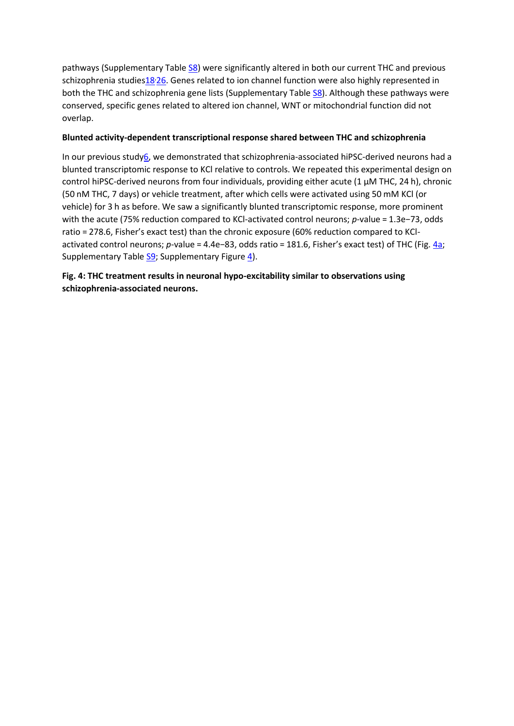pathways (Supplementary Table [S8\)](https://www.nature.com/articles/s41398-018-0137-3#MOESM9) were significantly altered in both our current THC and previous schizophrenia studie[s18](https://www.nature.com/articles/s41398-018-0137-3#ref-CR18)<sup>,26</sup>. Genes related to ion channel function were also highly represented in both the THC and schizophrenia gene lists (Supplementary Table [S8\)](https://www.nature.com/articles/s41398-018-0137-3#MOESM9). Although these pathways were conserved, specific genes related to altered ion channel, WNT or mitochondrial function did not overlap.

## **Blunted activity-dependent transcriptional response shared between THC and schizophrenia**

In our previous stud[y6,](https://www.nature.com/articles/s41398-018-0137-3#ref-CR6) we demonstrated that schizophrenia-associated hiPSC-derived neurons had a blunted transcriptomic response to KCl relative to controls. We repeated this experimental design on control hiPSC-derived neurons from four individuals, providing either acute (1 μM THC, 24 h), chronic (50 nM THC, 7 days) or vehicle treatment, after which cells were activated using 50 mM KCl (or vehicle) for 3 h as before. We saw a significantly blunted transcriptomic response, more prominent with the acute (75% reduction compared to KCl-activated control neurons; *p*-value = 1.3e−73, odds ratio = 278.6, Fisher's exact test) than the chronic exposure (60% reduction compared to KClactivated control neurons; *p*-value = 4.4e−83, odds ratio = 181.6, Fisher's exact test) of THC (Fig. [4a;](https://www.nature.com/articles/s41398-018-0137-3#Fig4) Supplementary Table [S9;](https://www.nature.com/articles/s41398-018-0137-3#MOESM10) Supplementary Figure [4\)](https://www.nature.com/articles/s41398-018-0137-3#MOESM1).

## **Fig. 4: THC treatment results in neuronal hypo-excitability similar to observations using schizophrenia-associated neurons.**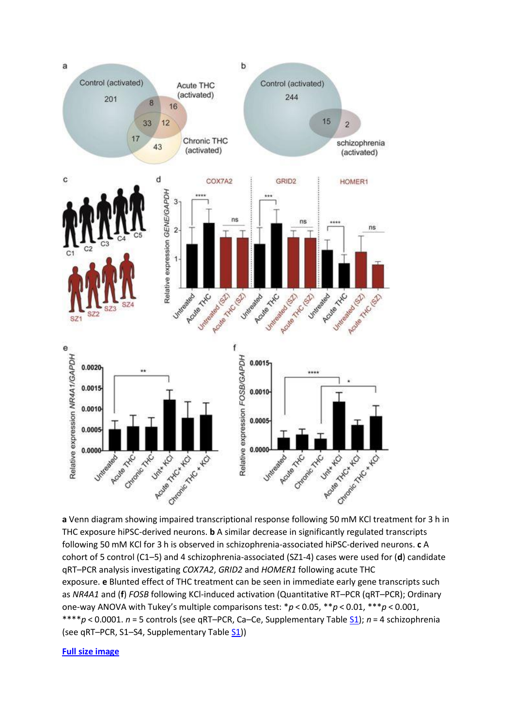

**a** Venn diagram showing impaired transcriptional response following 50 mM KCl treatment for 3 h in THC exposure hiPSC-derived neurons. **b** A similar decrease in significantly regulated transcripts following 50 mM KCl for 3 h is observed in schizophrenia-associated hiPSC-derived neurons. **c** A cohort of 5 control (C1–5) and 4 schizophrenia-associated (SZ1-4) cases were used for (**d**) candidate qRT–PCR analysis investigating *COX7A2*, *GRID2* and *HOMER1* following acute THC exposure. **e** Blunted effect of THC treatment can be seen in immediate early gene transcripts such as *NR4A1* and (**f**) *FOSB* following KCl-induced activation (Quantitative RT–PCR (qRT–PCR); Ordinary one-way ANOVA with Tukey's multiple comparisons test: \**p* < 0.05, \*\**p* < 0.01, \*\*\**p* < 0.001, \*\*\*\**p* < 0.0001. *n* = 5 controls (see qRT–PCR, Ca–Ce, Supplementary Table [S1\)](https://www.nature.com/articles/s41398-018-0137-3#MOESM2); *n* = 4 schizophrenia (see qRT–PCR, S1–S4, Supplementary Table [S1\)](https://www.nature.com/articles/s41398-018-0137-3#MOESM2))

#### **[Full size image](https://www.nature.com/articles/s41398-018-0137-3/figures/4)**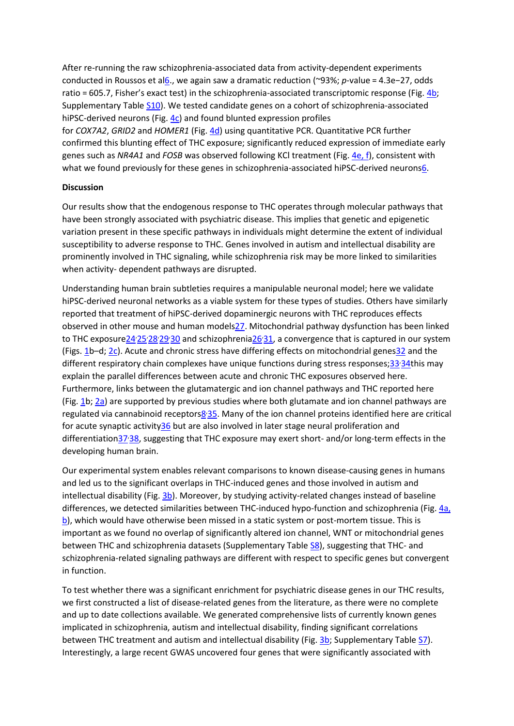After re-running the raw schizophrenia-associated data from activity-dependent experiments conducted in Roussos et a[l6.](https://www.nature.com/articles/s41398-018-0137-3#ref-CR6), we again saw a dramatic reduction (~93%; *p*-value = 4.3e−27, odds ratio = 605.7, Fisher's exact test) in the schizophrenia-associated transcriptomic response (Fig. [4b;](https://www.nature.com/articles/s41398-018-0137-3#Fig4) Supplementary Table [S10\)](https://www.nature.com/articles/s41398-018-0137-3#MOESM11). We tested candidate genes on a cohort of schizophrenia-associated hiPSC-derived neurons (Fig. [4c\)](https://www.nature.com/articles/s41398-018-0137-3#Fig4) and found blunted expression profiles for *COX7A2*, *GRID2* and *HOMER1* (Fig. [4d\)](https://www.nature.com/articles/s41398-018-0137-3#Fig4) using quantitative PCR. Quantitative PCR further confirmed this blunting effect of THC exposure; significantly reduced expression of immediate early genes such as *NR4A1* and *FOSB* was observed following KCl treatment (Fig. [4e, f\)](https://www.nature.com/articles/s41398-018-0137-3#Fig4), consistent with what we found previously for these genes in schizophrenia-associated hiPSC-derived neuron[s6.](https://www.nature.com/articles/s41398-018-0137-3#ref-CR6)

## **Discussion**

Our results show that the endogenous response to THC operates through molecular pathways that have been strongly associated with psychiatric disease. This implies that genetic and epigenetic variation present in these specific pathways in individuals might determine the extent of individual susceptibility to adverse response to THC. Genes involved in autism and intellectual disability are prominently involved in THC signaling, while schizophrenia risk may be more linked to similarities when activity- dependent pathways are disrupted.

Understanding human brain subtleties requires a manipulable neuronal model; here we validate hiPSC-derived neuronal networks as a viable system for these types of studies. Others have similarly reported that treatment of hiPSC-derived dopaminergic neurons with THC reproduces effects observed in other mouse and human model[s27.](https://www.nature.com/articles/s41398-018-0137-3#ref-CR27) Mitochondrial pathway dysfunction has been linked to THC exposure 24.[25](https://www.nature.com/articles/s41398-018-0137-3#ref-CR25).[28](https://www.nature.com/articles/s41398-018-0137-3#ref-CR28).[29](https://www.nature.com/articles/s41398-018-0137-3#ref-CR29).[30](https://www.nature.com/articles/s41398-018-0137-3#ref-CR30) and schizophrenia 26.[31,](https://www.nature.com/articles/s41398-018-0137-3#ref-CR31) a convergence that is captured in our system (Figs. [1b](https://www.nature.com/articles/s41398-018-0137-3#Fig1)–d; [2c\)](https://www.nature.com/articles/s41398-018-0137-3#Fig2). Acute and chronic stress have differing effects on mitochondrial gene[s32](https://www.nature.com/articles/s41398-018-0137-3#ref-CR32) and the different respiratory chain complexes have unique functions during stress responses[;33](https://www.nature.com/articles/s41398-018-0137-3#ref-CR33).[34t](https://www.nature.com/articles/s41398-018-0137-3#ref-CR34)his may explain the parallel differences between acute and chronic THC exposures observed here. Furthermore, links between the glutamatergic and ion channel pathways and THC reported here (Fig. [1b](https://www.nature.com/articles/s41398-018-0137-3#Fig1); [2a\)](https://www.nature.com/articles/s41398-018-0137-3#Fig2) are supported by previous studies where both glutamate and ion channel pathways are regulated via cannabinoid receptors<sup>8</sup><sup>35</sup>. Many of the ion channel proteins identified here are critical for acute synaptic activit[y36](https://www.nature.com/articles/s41398-018-0137-3#ref-CR36) but are also involved in later stage neural proliferation and differentiatio[n37](https://www.nature.com/articles/s41398-018-0137-3#ref-CR37).[38,](https://www.nature.com/articles/s41398-018-0137-3#ref-CR38) suggesting that THC exposure may exert short- and/or long-term effects in the developing human brain.

Our experimental system enables relevant comparisons to known disease-causing genes in humans and led us to the significant overlaps in THC-induced genes and those involved in autism and intellectual disability (Fig. [3b\)](https://www.nature.com/articles/s41398-018-0137-3#Fig3). Moreover, by studying activity-related changes instead of baseline differences, we detected similarities between THC-induced hypo-function and schizophrenia (Fig. [4a,](https://www.nature.com/articles/s41398-018-0137-3#Fig4)  [b\)](https://www.nature.com/articles/s41398-018-0137-3#Fig4), which would have otherwise been missed in a static system or post-mortem tissue. This is important as we found no overlap of significantly altered ion channel, WNT or mitochondrial genes between THC and schizophrenia datasets (Supplementary Table  $S_8$ ), suggesting that THC- and schizophrenia-related signaling pathways are different with respect to specific genes but convergent in function.

To test whether there was a significant enrichment for psychiatric disease genes in our THC results, we first constructed a list of disease-related genes from the literature, as there were no complete and up to date collections available. We generated comprehensive lists of currently known genes implicated in schizophrenia, autism and intellectual disability, finding significant correlations between THC treatment and autism and intellectual disability (Fig. [3b;](https://www.nature.com/articles/s41398-018-0137-3#Fig3) Supplementary Table [S7\)](https://www.nature.com/articles/s41398-018-0137-3#MOESM8). Interestingly, a large recent GWAS uncovered four genes that were significantly associated with